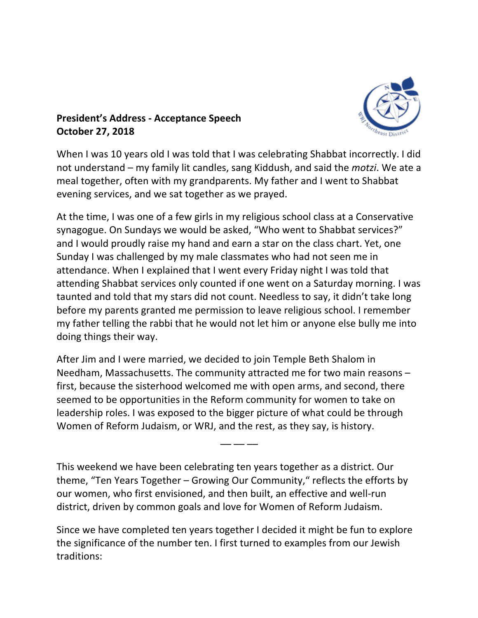

## **President's Address - Acceptance Speech October 27, 2018**

When I was 10 years old I was told that I was celebrating Shabbat incorrectly. I did not understand – my family lit candles, sang Kiddush, and said the *motzi*. We ate a meal together, often with my grandparents. My father and I went to Shabbat evening services, and we sat together as we prayed.

At the time, I was one of a few girls in my religious school class at a Conservative synagogue. On Sundays we would be asked, "Who went to Shabbat services?" and I would proudly raise my hand and earn a star on the class chart. Yet, one Sunday I was challenged by my male classmates who had not seen me in attendance. When I explained that I went every Friday night I was told that attending Shabbat services only counted if one went on a Saturday morning. I was taunted and told that my stars did not count. Needless to say, it didn't take long before my parents granted me permission to leave religious school. I remember my father telling the rabbi that he would not let him or anyone else bully me into doing things their way.

After Jim and I were married, we decided to join Temple Beth Shalom in Needham, Massachusetts. The community attracted me for two main reasons  $$ first, because the sisterhood welcomed me with open arms, and second, there seemed to be opportunities in the Reform community for women to take on leadership roles. I was exposed to the bigger picture of what could be through Women of Reform Judaism, or WRJ, and the rest, as they say, is history.

This weekend we have been celebrating ten years together as a district. Our theme, "Ten Years Together  $-$  Growing Our Community," reflects the efforts by our women, who first envisioned, and then built, an effective and well-run district, driven by common goals and love for Women of Reform Judaism.

–– –– ––

Since we have completed ten years together I decided it might be fun to explore the significance of the number ten. I first turned to examples from our Jewish traditions: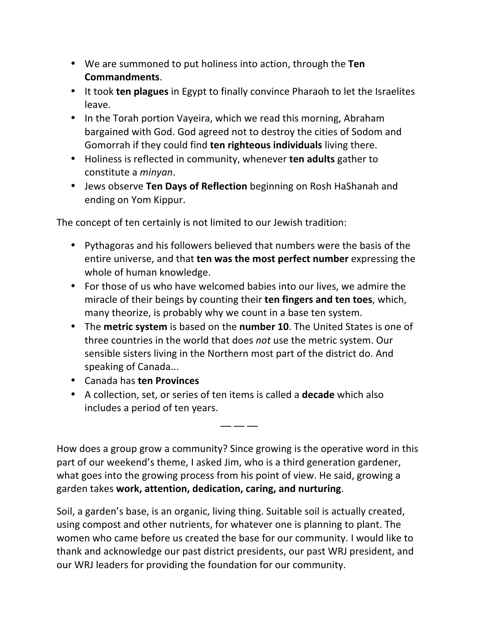- We are summoned to put holiness into action, through the Ten **Commandments**.
- It took **ten plagues** in Egypt to finally convince Pharaoh to let the Israelites leave.
- In the Torah portion Vayeira, which we read this morning, Abraham bargained with God. God agreed not to destroy the cities of Sodom and Gomorrah if they could find **ten righteous individuals** living there.
- Holiness is reflected in community, whenever **ten adults** gather to constitute a *minyan*.
- Jews observe **Ten Days of Reflection** beginning on Rosh HaShanah and ending on Yom Kippur.

The concept of ten certainly is not limited to our Jewish tradition:

- Pythagoras and his followers believed that numbers were the basis of the entire universe, and that **ten was the most perfect number** expressing the whole of human knowledge.
- For those of us who have welcomed babies into our lives, we admire the miracle of their beings by counting their **ten fingers and ten toes**, which, many theorize, is probably why we count in a base ten system.
- The metric system is based on the number 10. The United States is one of three countries in the world that does *not* use the metric system. Our sensible sisters living in the Northern most part of the district do. And speaking of Canada...
- Canada has **ten Provinces**
- A collection, set, or series of ten items is called a **decade** which also includes a period of ten years.

How does a group grow a community? Since growing is the operative word in this part of our weekend's theme, I asked Jim, who is a third generation gardener, what goes into the growing process from his point of view. He said, growing a garden takes **work, attention, dedication, caring, and nurturing**.

–– –– ––

Soil, a garden's base, is an organic, living thing. Suitable soil is actually created, using compost and other nutrients, for whatever one is planning to plant. The women who came before us created the base for our community. I would like to thank and acknowledge our past district presidents, our past WRJ president, and our WRJ leaders for providing the foundation for our community.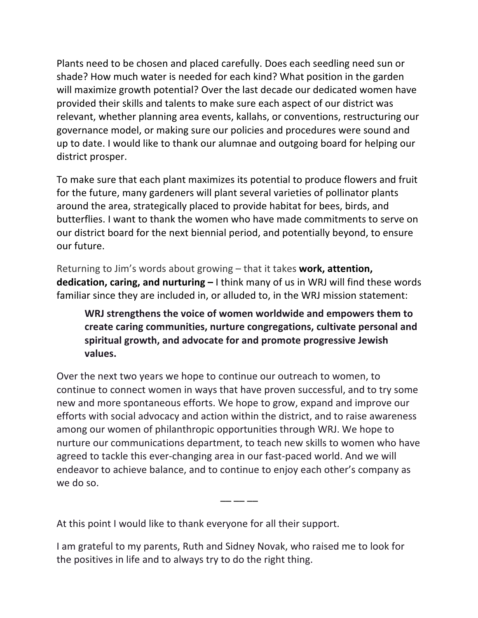Plants need to be chosen and placed carefully. Does each seedling need sun or shade? How much water is needed for each kind? What position in the garden will maximize growth potential? Over the last decade our dedicated women have provided their skills and talents to make sure each aspect of our district was relevant, whether planning area events, kallahs, or conventions, restructuring our governance model, or making sure our policies and procedures were sound and up to date. I would like to thank our alumnae and outgoing board for helping our district prosper.

To make sure that each plant maximizes its potential to produce flowers and fruit for the future, many gardeners will plant several varieties of pollinator plants around the area, strategically placed to provide habitat for bees, birds, and butterflies. I want to thank the women who have made commitments to serve on our district board for the next biennial period, and potentially beyond, to ensure our future.

Returning to Jim's words about growing – that it takes **work, attention, dedication, caring, and nurturing** – I think many of us in WRJ will find these words familiar since they are included in, or alluded to, in the WRJ mission statement:

WRJ strengthens the voice of women worldwide and empowers them to **create caring communities, nurture congregations, cultivate personal and** spiritual growth, and advocate for and promote progressive Jewish **values.**

Over the next two years we hope to continue our outreach to women, to continue to connect women in ways that have proven successful, and to try some new and more spontaneous efforts. We hope to grow, expand and improve our efforts with social advocacy and action within the district, and to raise awareness among our women of philanthropic opportunities through WRJ. We hope to nurture our communications department, to teach new skills to women who have agreed to tackle this ever-changing area in our fast-paced world. And we will endeavor to achieve balance, and to continue to enjoy each other's company as we do so.

–– –– ––

At this point I would like to thank everyone for all their support.

I am grateful to my parents, Ruth and Sidney Novak, who raised me to look for the positives in life and to always try to do the right thing.